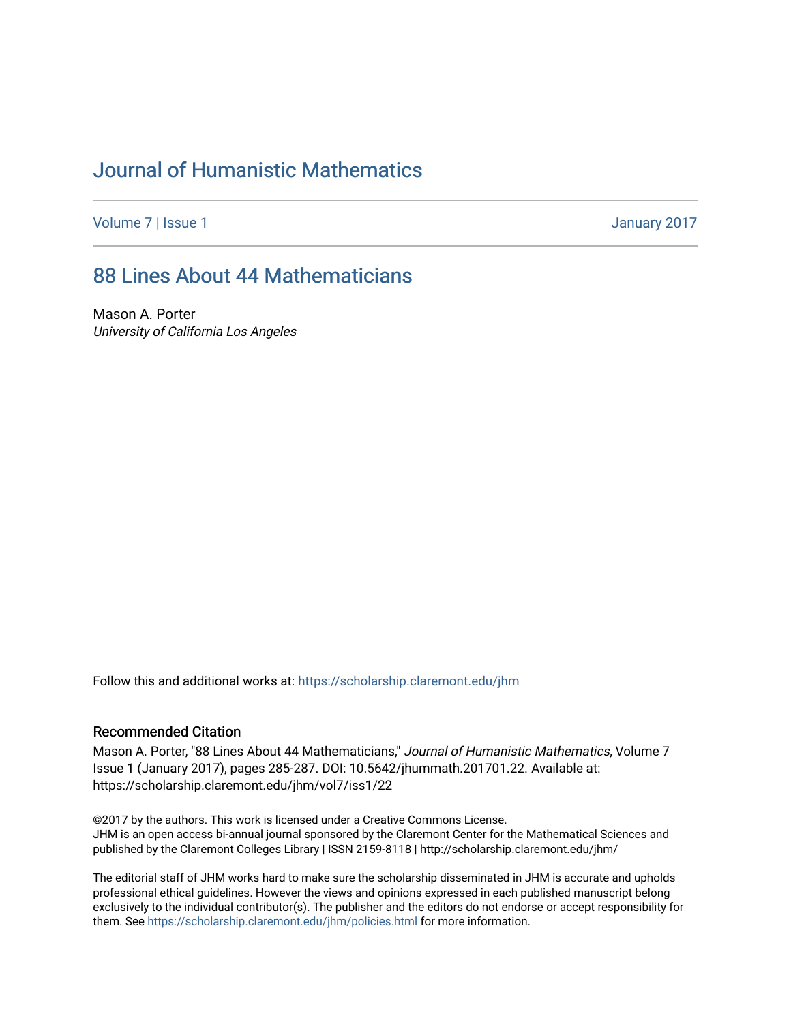# [Journal of Humanistic Mathematics](https://scholarship.claremont.edu/jhm)

[Volume 7](https://scholarship.claremont.edu/jhm/vol7) | [Issue 1](https://scholarship.claremont.edu/jhm/vol7/iss1) January 2017

## [88 Lines About 44 Mathematicians](https://scholarship.claremont.edu/jhm/vol7/iss1/22)

Mason A. Porter University of California Los Angeles

Follow this and additional works at: [https://scholarship.claremont.edu/jhm](https://scholarship.claremont.edu/jhm?utm_source=scholarship.claremont.edu%2Fjhm%2Fvol7%2Fiss1%2F22&utm_medium=PDF&utm_campaign=PDFCoverPages)

#### Recommended Citation

Mason A. Porter, "88 Lines About 44 Mathematicians," Journal of Humanistic Mathematics, Volume 7 Issue 1 (January 2017), pages 285-287. DOI: 10.5642/jhummath.201701.22. Available at: https://scholarship.claremont.edu/jhm/vol7/iss1/22

©2017 by the authors. This work is licensed under a Creative Commons License. JHM is an open access bi-annual journal sponsored by the Claremont Center for the Mathematical Sciences and published by the Claremont Colleges Library | ISSN 2159-8118 | http://scholarship.claremont.edu/jhm/

The editorial staff of JHM works hard to make sure the scholarship disseminated in JHM is accurate and upholds professional ethical guidelines. However the views and opinions expressed in each published manuscript belong exclusively to the individual contributor(s). The publisher and the editors do not endorse or accept responsibility for them. See<https://scholarship.claremont.edu/jhm/policies.html> for more information.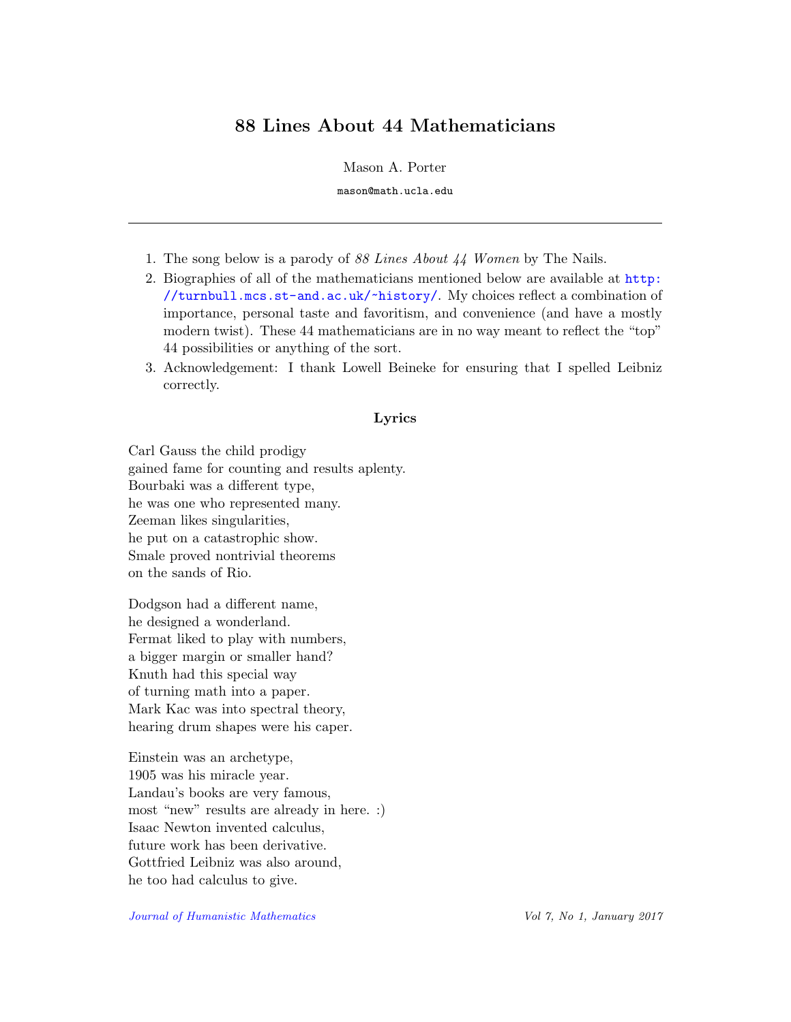### 88 Lines About 44 Mathematicians

Mason A. Porter

mason@math.ucla.edu

- 1. The song below is a parody of 88 Lines About 44 Women by The Nails.
- 2. Biographies of all of the mathematicians mentioned below are available at [http:](http://turnbull.mcs.st-and.ac.uk/~history/) [//turnbull.mcs.st-and.ac.uk/~history/](http://turnbull.mcs.st-and.ac.uk/~history/). My choices reflect a combination of importance, personal taste and favoritism, and convenience (and have a mostly modern twist). These 44 mathematicians are in no way meant to reflect the "top" 44 possibilities or anything of the sort.
- 3. Acknowledgement: I thank Lowell Beineke for ensuring that I spelled Leibniz correctly.

#### Lyrics

Carl Gauss the child prodigy gained fame for counting and results aplenty. Bourbaki was a different type, he was one who represented many. Zeeman likes singularities, he put on a catastrophic show. Smale proved nontrivial theorems on the sands of Rio.

Dodgson had a different name, he designed a wonderland. Fermat liked to play with numbers, a bigger margin or smaller hand? Knuth had this special way of turning math into a paper. Mark Kac was into spectral theory, hearing drum shapes were his caper.

Einstein was an archetype, 1905 was his miracle year. Landau's books are very famous, most "new" results are already in here. :) Isaac Newton invented calculus, future work has been derivative. Gottfried Leibniz was also around, he too had calculus to give.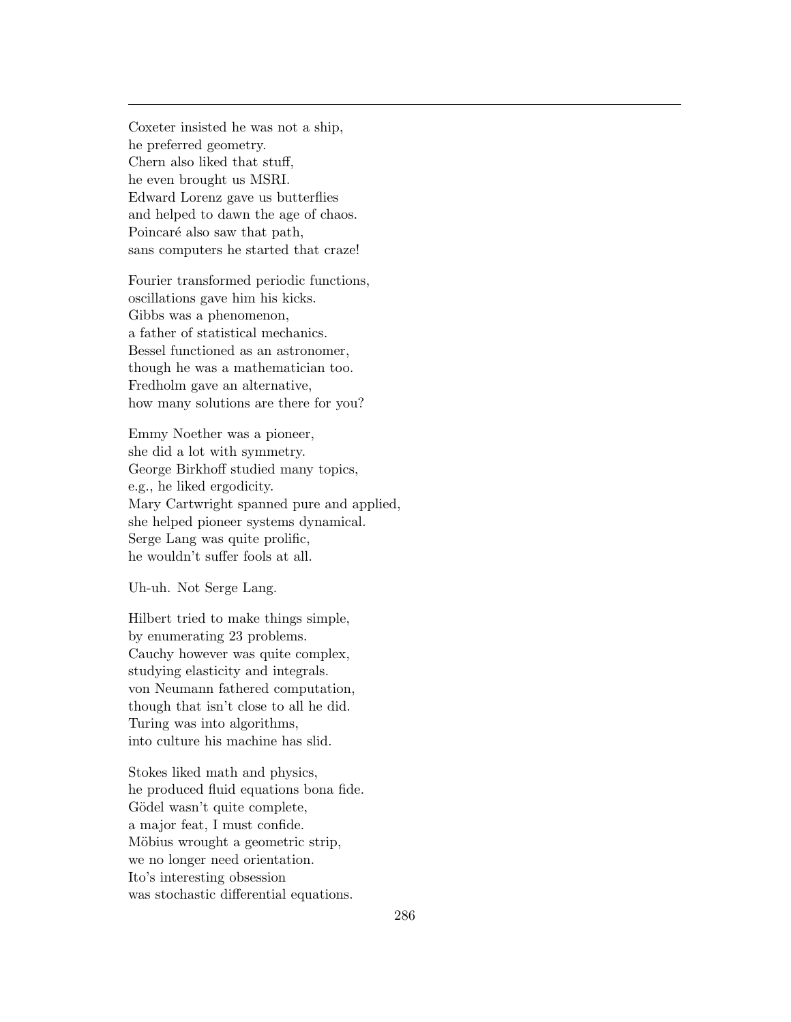Coxeter insisted he was not a ship, he preferred geometry. Chern also liked that stuff, he even brought us MSRI. Edward Lorenz gave us butterflies and helped to dawn the age of chaos. Poincaré also saw that path, sans computers he started that craze!

Fourier transformed periodic functions, oscillations gave him his kicks. Gibbs was a phenomenon, a father of statistical mechanics. Bessel functioned as an astronomer, though he was a mathematician too. Fredholm gave an alternative, how many solutions are there for you?

Emmy Noether was a pioneer, she did a lot with symmetry. George Birkhoff studied many topics, e.g., he liked ergodicity. Mary Cartwright spanned pure and applied, she helped pioneer systems dynamical. Serge Lang was quite prolific, he wouldn't suffer fools at all.

Uh-uh. Not Serge Lang.

Hilbert tried to make things simple, by enumerating 23 problems. Cauchy however was quite complex, studying elasticity and integrals. von Neumann fathered computation, though that isn't close to all he did. Turing was into algorithms, into culture his machine has slid.

Stokes liked math and physics, he produced fluid equations bona fide. Gödel wasn't quite complete, a major feat, I must confide. Möbius wrought a geometric strip, we no longer need orientation. Ito's interesting obsession was stochastic differential equations.